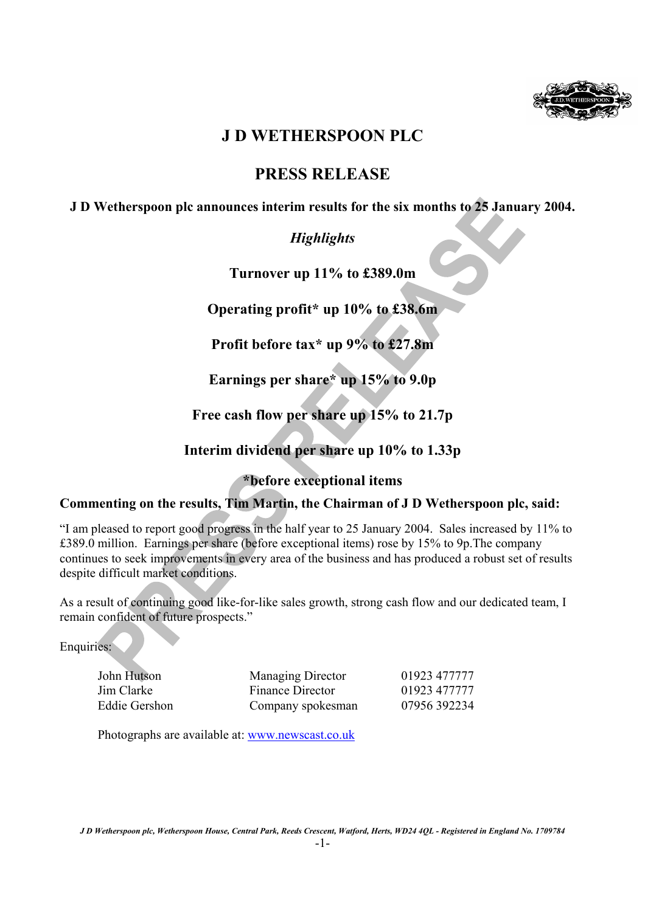

# **J D WETHERSPOON PLC**

# **PRESS RELEASE**

## **J D Wetherspoon plc announces interim results for the six months to 25 January 2004.**

# *Highlights*

**Turnover up 11% to £389.0m** 

**Operating profit\* up 10% to £38.6m** 

**Profit before tax\* up 9% to £27.8m** 

**Earnings per share\* up 15% to 9.0p** 

**Free cash flow per share up 15% to 21.7p** 

**Interim dividend per share up 10% to 1.33p** 

## **\*before exceptional items**

## **Commenting on the results, Tim Martin, the Chairman of J D Wetherspoon plc, said:**

"I am pleased to report good progress in the half year to 25 January 2004. Sales increased by 11% to £389.0 million. Earnings per share (before exceptional items) rose by 15% to 9p.The company continues to seek improvements in every area of the business and has produced a robust set of results despite difficult market conditions.

As a result of continuing good like-for-like sales growth, strong cash flow and our dedicated team, I remain confident of future prospects."

Enquiries:

| John Hutson   | <b>Managing Director</b> | 01923 477777 |
|---------------|--------------------------|--------------|
| Jim Clarke    | Finance Director         | 01923 477777 |
| Eddie Gershon | Company spokesman        | 07956392234  |

Photographs are available at: www.newscast.co.uk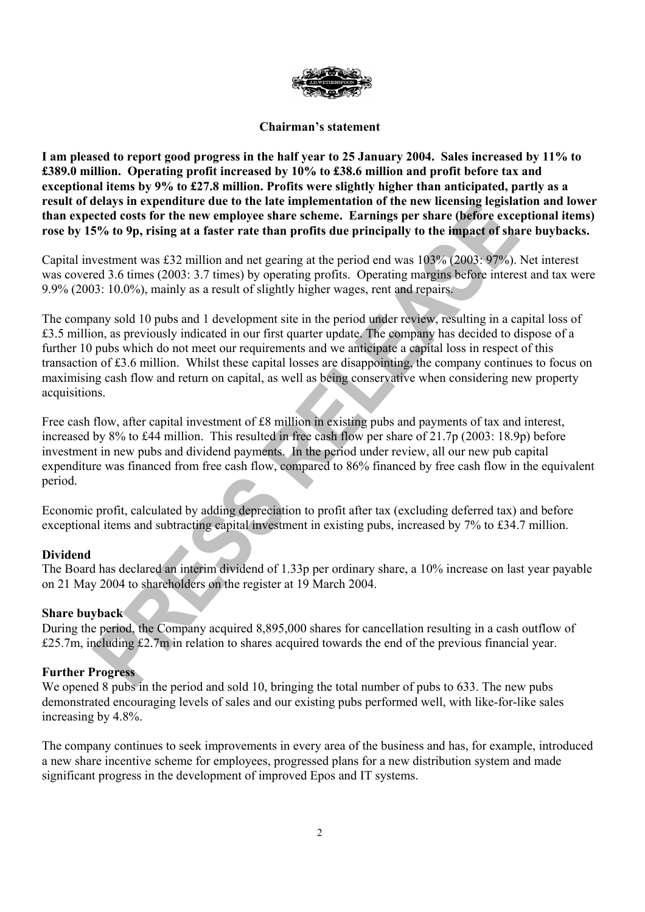

## **Chairman's statement**

**I am pleased to report good progress in the half year to 25 January 2004. Sales increased by 11% to £389.0 million. Operating profit increased by 10% to £38.6 million and profit before tax and exceptional items by 9% to £27.8 million. Profits were slightly higher than anticipated, partly as a result of delays in expenditure due to the late implementation of the new licensing legislation and lower than expected costs for the new employee share scheme. Earnings per share (before exceptional items) rose by 15% to 9p, rising at a faster rate than profits due principally to the impact of share buybacks.** 

Capital investment was £32 million and net gearing at the period end was 103% (2003: 97%). Net interest was covered 3.6 times (2003: 3.7 times) by operating profits. Operating margins before interest and tax were 9.9% (2003: 10.0%), mainly as a result of slightly higher wages, rent and repairs.

The company sold 10 pubs and 1 development site in the period under review, resulting in a capital loss of £3.5 million, as previously indicated in our first quarter update. The company has decided to dispose of a further 10 pubs which do not meet our requirements and we anticipate a capital loss in respect of this transaction of £3.6 million. Whilst these capital losses are disappointing, the company continues to focus on maximising cash flow and return on capital, as well as being conservative when considering new property acquisitions.

Free cash flow, after capital investment of £8 million in existing pubs and payments of tax and interest, increased by 8% to £44 million. This resulted in free cash flow per share of 21.7p (2003: 18.9p) before investment in new pubs and dividend payments. In the period under review, all our new pub capital expenditure was financed from free cash flow, compared to 86% financed by free cash flow in the equivalent period.

Economic profit, calculated by adding depreciation to profit after tax (excluding deferred tax) and before exceptional items and subtracting capital investment in existing pubs, increased by 7% to £34.7 million.

## **Dividend**

The Board has declared an interim dividend of 1.33p per ordinary share, a 10% increase on last year payable on 21 May 2004 to shareholders on the register at 19 March 2004.

### **Share buyback**

During the period, the Company acquired 8,895,000 shares for cancellation resulting in a cash outflow of £25.7m, including £2.7m in relation to shares acquired towards the end of the previous financial year.

## **Further Progress**

We opened 8 pubs in the period and sold 10, bringing the total number of pubs to 633. The new pubs demonstrated encouraging levels of sales and our existing pubs performed well, with like-for-like sales increasing by 4.8%.

The company continues to seek improvements in every area of the business and has, for example, introduced a new share incentive scheme for employees, progressed plans for a new distribution system and made significant progress in the development of improved Epos and IT systems.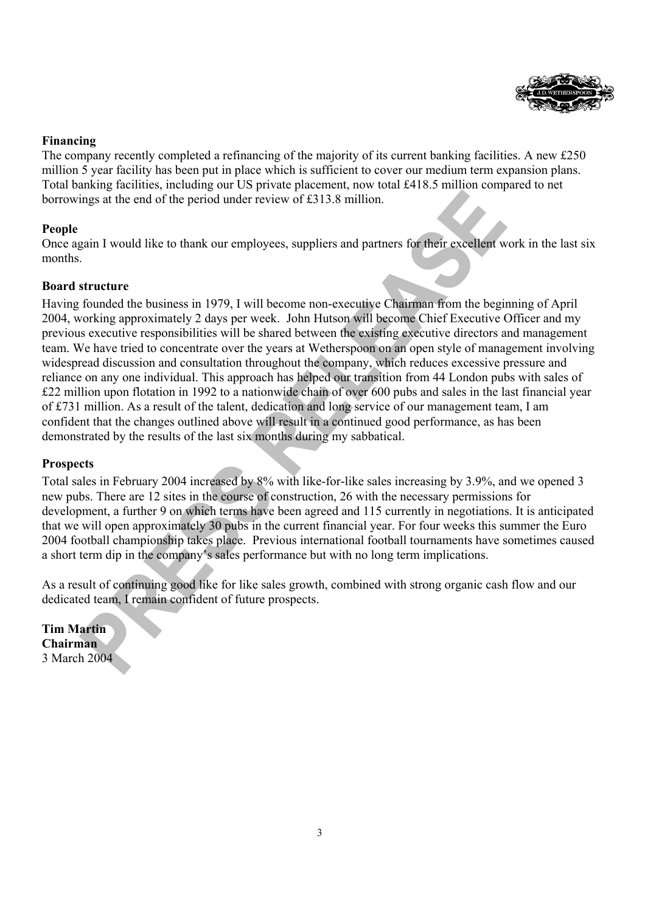

## **Financing**

The company recently completed a refinancing of the majority of its current banking facilities. A new £250 million 5 year facility has been put in place which is sufficient to cover our medium term expansion plans. Total banking facilities, including our US private placement, now total £418.5 million compared to net borrowings at the end of the period under review of £313.8 million.

## **People**

Once again I would like to thank our employees, suppliers and partners for their excellent work in the last six months.

## **Board structure**

Having founded the business in 1979, I will become non-executive Chairman from the beginning of April 2004, working approximately 2 days per week. John Hutson will become Chief Executive Officer and my previous executive responsibilities will be shared between the existing executive directors and management team. We have tried to concentrate over the years at Wetherspoon on an open style of management involving widespread discussion and consultation throughout the company, which reduces excessive pressure and reliance on any one individual. This approach has helped our transition from 44 London pubs with sales of £22 million upon flotation in 1992 to a nationwide chain of over 600 pubs and sales in the last financial year of £731 million. As a result of the talent, dedication and long service of our management team, I am confident that the changes outlined above will result in a continued good performance, as has been demonstrated by the results of the last six months during my sabbatical.

## **Prospects**

Total sales in February 2004 increased by 8% with like-for-like sales increasing by 3.9%, and we opened 3 new pubs. There are 12 sites in the course of construction, 26 with the necessary permissions for development, a further 9 on which terms have been agreed and 115 currently in negotiations. It is anticipated that we will open approximately 30 pubs in the current financial year. For four weeks this summer the Euro 2004 football championship takes place. Previous international football tournaments have sometimes caused a short term dip in the company's sales performance but with no long term implications.

As a result of continuing good like for like sales growth, combined with strong organic cash flow and our dedicated team, I remain confident of future prospects.

**Tim Martin Chairman**  3 March 2004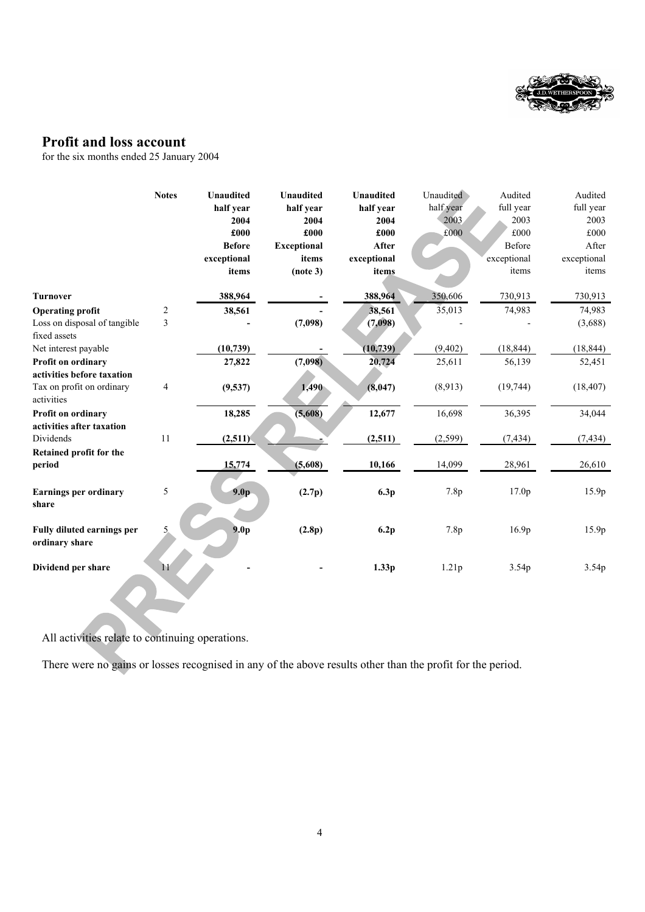

# **Profit and loss account**

for the six months ended 25 January 2004

|                                                     | <b>Notes</b>   | <b>Unaudited</b> | <b>Unaudited</b>   | <b>Unaudited</b> | Unaudited | Audited           | Audited     |
|-----------------------------------------------------|----------------|------------------|--------------------|------------------|-----------|-------------------|-------------|
|                                                     |                | half year        | half year          | half year        | half year | full year         | full year   |
|                                                     |                | 2004             | 2004               | 2004             | 2003      | 2003              | 2003        |
|                                                     |                | £000             | £000               | £000             | £000      | £000              | £000        |
|                                                     |                | <b>Before</b>    | <b>Exceptional</b> | After            |           | Before            | After       |
|                                                     |                | exceptional      | items              | exceptional      |           | exceptional       | exceptional |
|                                                     |                | items            | (note 3)           | items            |           | items             | items       |
| <b>Turnover</b>                                     |                | 388,964          |                    | 388,964          | 350,606   | 730,913           | 730,913     |
| <b>Operating profit</b>                             | $\overline{c}$ | 38,561           |                    | 38,561           | 35,013    | 74,983            | 74,983      |
| Loss on disposal of tangible                        | 3              |                  | (7,098)            | (7,098)          |           |                   | (3,688)     |
| fixed assets                                        |                |                  |                    |                  |           |                   |             |
| Net interest payable                                |                | (10, 739)        |                    | (10, 739)        | (9, 402)  | (18, 844)         | (18, 844)   |
| <b>Profit on ordinary</b>                           |                | 27,822           | (7,098)            | 20,724           | 25,611    | 56,139            | 52,451      |
| activities before taxation                          |                |                  |                    |                  |           |                   |             |
| Tax on profit on ordinary<br>activities             | 4              | (9,537)          | 1,490              | (8,047)          | (8,913)   | (19, 744)         | (18, 407)   |
| Profit on ordinary                                  |                | 18,285           | (5,608)            | 12,677           | 16,698    | 36,395            | 34,044      |
| activities after taxation                           |                |                  |                    |                  |           |                   |             |
| Dividends                                           | 11             | (2,511)          |                    | (2,511)          | (2, 599)  | (7, 434)          | (7, 434)    |
| Retained profit for the                             |                |                  |                    |                  |           |                   |             |
| period                                              |                | 15,774           | (5,608)            | 10,166           | 14,099    | 28,961            | 26,610      |
| <b>Earnings per ordinary</b><br>share               | 5              | 9.0 <sub>p</sub> | (2.7p)             | 6.3p             | 7.8p      | 17.0p             | 15.9p       |
| <b>Fully diluted earnings per</b><br>ordinary share | 5.             | 9.0 <sub>p</sub> | (2.8p)             | 6.2p             | 7.8p      | 16.9 <sub>p</sub> | 15.9p       |
| Dividend per share                                  | 11             |                  |                    | 1.33p            | 1.21p     | 3.54 <sub>p</sub> | 3.54p       |

All activities relate to continuing operations.

There were no gains or losses recognised in any of the above results other than the profit for the period.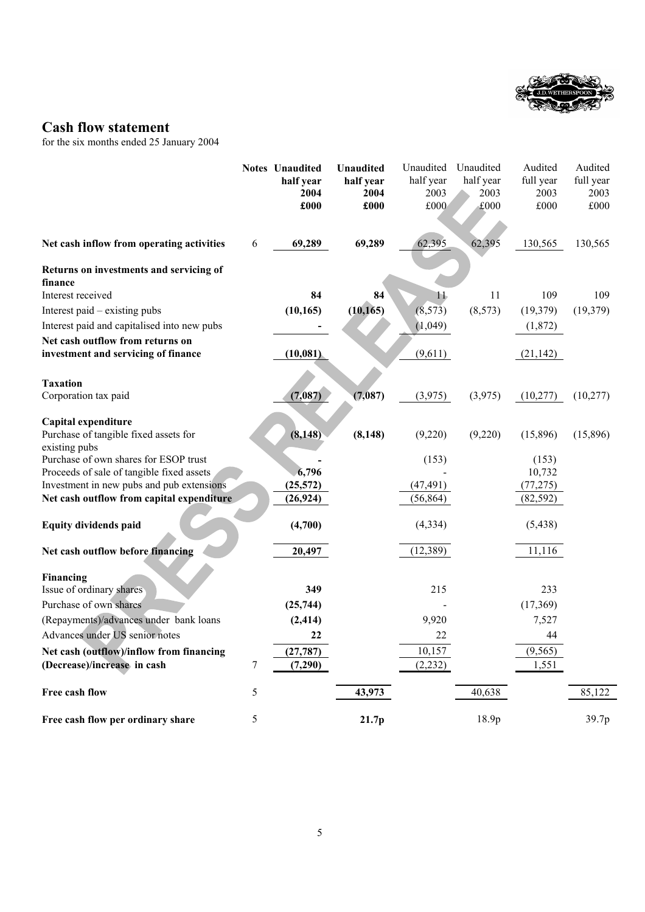

# **Cash flow statement**

for the six months ended 25 January 2004

|                                                        |   | <b>Notes</b> Unaudited | <b>Unaudited</b>  | Unaudited         | Unaudited         | Audited           | Audited           |
|--------------------------------------------------------|---|------------------------|-------------------|-------------------|-------------------|-------------------|-------------------|
|                                                        |   | half year<br>2004      | half year<br>2004 | half year<br>2003 | half year<br>2003 | full year<br>2003 | full year<br>2003 |
|                                                        |   | £000                   | £000              | £000              | £000              | £000              | £000              |
|                                                        |   |                        |                   |                   |                   |                   |                   |
| Net cash inflow from operating activities              | 6 | 69,289                 | 69,289            | 62,395            | 62,395            | 130,565           | 130,565           |
| Returns on investments and servicing of<br>finance     |   |                        |                   |                   |                   |                   |                   |
| Interest received                                      |   | 84                     | 84                | 11                | 11                | 109               | 109               |
| Interest paid – existing pubs                          |   | (10, 165)              | (10, 165)         | (8, 573)          | (8,573)           | (19, 379)         | (19, 379)         |
| Interest paid and capitalised into new pubs            |   |                        |                   | (1,049)           |                   | (1,872)           |                   |
| Net cash outflow from returns on                       |   |                        |                   |                   |                   |                   |                   |
| investment and servicing of finance                    |   | (10, 081)              |                   | (9,611)           |                   | (21, 142)         |                   |
| <b>Taxation</b>                                        |   |                        |                   |                   |                   |                   |                   |
| Corporation tax paid                                   |   | (7,087)                | (7,087)           | (3,975)           | (3,975)           | (10,277)          | (10, 277)         |
| Capital expenditure                                    |   |                        |                   |                   |                   |                   |                   |
| Purchase of tangible fixed assets for                  |   | (8, 148)               | (8, 148)          | (9,220)           | (9,220)           | (15,896)          | (15,896)          |
| existing pubs<br>Purchase of own shares for ESOP trust |   |                        |                   | (153)             |                   | (153)             |                   |
| Proceeds of sale of tangible fixed assets              |   | 6,796                  |                   |                   |                   | 10,732            |                   |
| Investment in new pubs and pub extensions              |   | (25, 572)              |                   | (47, 491)         |                   | (77, 275)         |                   |
| Net cash outflow from capital expenditure              |   | (26, 924)              |                   | (56, 864)         |                   | (82, 592)         |                   |
| <b>Equity dividends paid</b>                           |   | (4,700)                |                   | (4, 334)          |                   | (5, 438)          |                   |
| Net cash outflow before financing                      |   | 20,497                 |                   | (12, 389)         |                   | 11,116            |                   |
|                                                        |   |                        |                   |                   |                   |                   |                   |
| Financing<br>Issue of ordinary shares                  |   | 349                    |                   | 215               |                   | 233               |                   |
| Purchase of own shares                                 |   | (25, 744)              |                   |                   |                   | (17, 369)         |                   |
| (Repayments)/advances under bank loans                 |   | (2, 414)               |                   | 9,920             |                   | 7,527             |                   |
| Advances under US senior notes                         |   | 22                     |                   | 22                |                   | 44                |                   |
| Net cash (outflow)/inflow from financing               |   | (27, 787)              |                   | 10,157            |                   | (9, 565)          |                   |
| (Decrease)/increase in cash                            | 7 | (7,290)                |                   | (2, 232)          |                   | 1,551             |                   |
| Free cash flow                                         | 5 |                        | 43,973            |                   | 40,638            |                   | 85,122            |
| Free cash flow per ordinary share                      | 5 |                        | 21.7p             |                   | 18.9p             |                   | 39.7p             |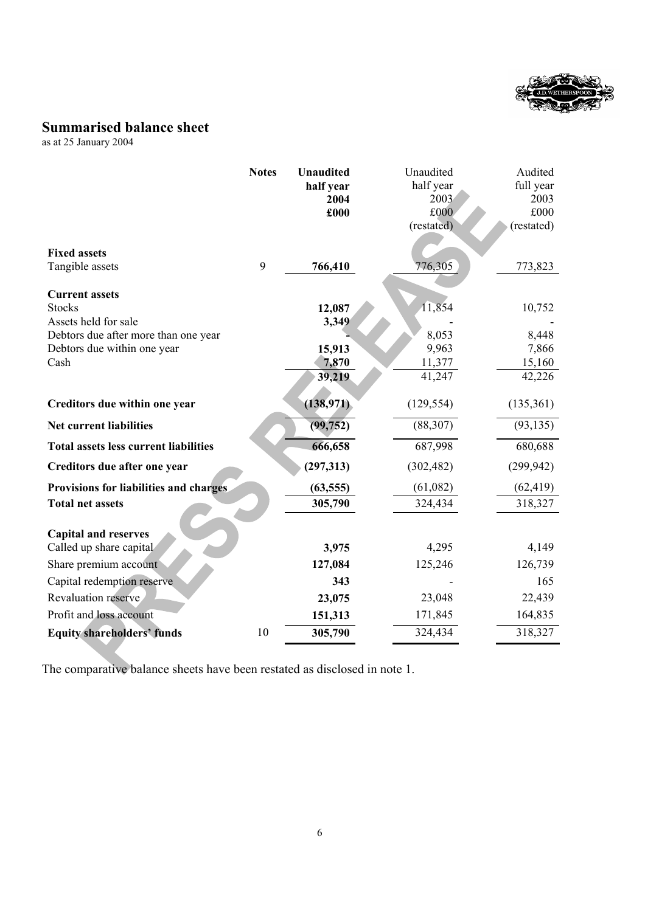

# **Summarised balance sheet**

as at 25 January 2004

|                                              | <b>Notes</b> | <b>Unaudited</b> | Unaudited  | Audited    |
|----------------------------------------------|--------------|------------------|------------|------------|
|                                              |              | half year        | half year  | full year  |
|                                              |              | 2004             | 2003       | 2003       |
|                                              |              | £000             | £000       | £000       |
|                                              |              |                  | (restated) | (restated) |
| <b>Fixed assets</b>                          |              |                  |            |            |
| Tangible assets                              | 9            | 766,410          | 776,305    | 773,823    |
|                                              |              |                  |            |            |
| <b>Current assets</b>                        |              |                  |            |            |
| <b>Stocks</b>                                |              | 12,087           | 11,854     | 10,752     |
| Assets held for sale                         |              | 3,349            |            |            |
| Debtors due after more than one year         |              |                  | 8,053      | 8,448      |
| Debtors due within one year                  |              | 15,913           | 9,963      | 7,866      |
| Cash                                         |              | 7,870            | 11,377     | 15,160     |
|                                              |              | 39,219           | 41,247     | 42,226     |
| Creditors due within one year                |              | (138, 971)       | (129, 554) | (135,361)  |
|                                              |              |                  |            |            |
| Net current liabilities                      |              | (99, 752)        | (88, 307)  | (93, 135)  |
| <b>Total assets less current liabilities</b> |              | 666,658          | 687,998    | 680,688    |
| Creditors due after one year                 |              | (297, 313)       | (302, 482) | (299, 942) |
| Provisions for liabilities and charges       |              | (63, 555)        | (61,082)   | (62, 419)  |
| <b>Total net assets</b>                      |              | 305,790          | 324,434    | 318,327    |
|                                              |              |                  |            |            |
| <b>Capital and reserves</b>                  |              |                  |            |            |
| Called up share capital                      |              | 3,975            | 4,295      | 4,149      |
| Share premium account                        |              | 127,084          | 125,246    | 126,739    |
| Capital redemption reserve                   |              | 343              |            | 165        |
| Revaluation reserve                          |              | 23,075           | 23,048     | 22,439     |
| Profit and loss account                      |              | 151,313          | 171,845    | 164,835    |
| <b>Equity shareholders' funds</b>            | 10           | 305,790          | 324,434    | 318,327    |

The comparative balance sheets have been restated as disclosed in note 1.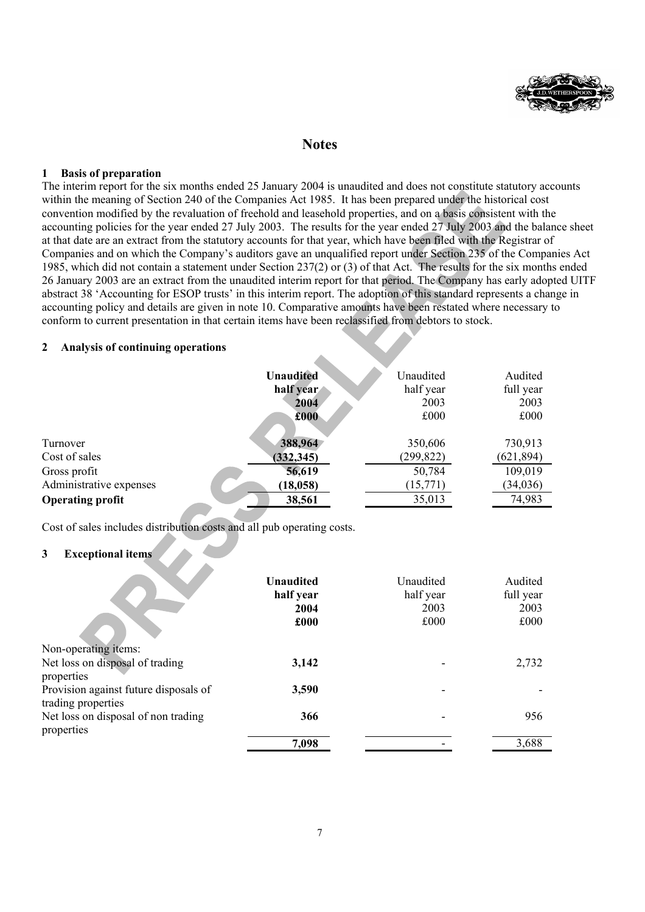

## **Notes**

#### **1 Basis of preparation**

The interim report for the six months ended 25 January 2004 is unaudited and does not constitute statutory accounts within the meaning of Section 240 of the Companies Act 1985. It has been prepared under the historical cost convention modified by the revaluation of freehold and leasehold properties, and on a basis consistent with the accounting policies for the year ended 27 July 2003. The results for the year ended 27 July 2003 and the balance sheet at that date are an extract from the statutory accounts for that year, which have been filed with the Registrar of Companies and on which the Company's auditors gave an unqualified report under Section 235 of the Companies Act 1985, which did not contain a statement under Section 237(2) or (3) of that Act. The results for the six months ended 26 January 2003 are an extract from the unaudited interim report for that period. The Company has early adopted UITF abstract 38 'Accounting for ESOP trusts' in this interim report. The adoption of this standard represents a change in accounting policy and details are given in note 10. Comparative amounts have been restated where necessary to conform to current presentation in that certain items have been reclassified from debtors to stock.

#### **2 Analysis of continuing operations**

|                         | <b>Unaudited</b> | Unaudited  | Audited    |
|-------------------------|------------------|------------|------------|
|                         | half year        | half year  | full year  |
|                         | 2004             | 2003       | 2003       |
|                         | £000             | £000       | £000       |
| Turnover                | 388,964          | 350,606    | 730,913    |
| Cost of sales           | (332, 345)       | (299, 822) | (621, 894) |
| Gross profit            | 56,619           | 50,784     | 109,019    |
| Administrative expenses | (18, 058)        | (15,771)   | (34, 036)  |
| <b>Operating profit</b> | 38,561           | 35,013     | 74,983     |
|                         |                  |            |            |

Cost of sales includes distribution costs and all pub operating costs.

### **3 Exceptional items**

|                                                             | <b>Unaudited</b><br>half year<br>2004<br>£000 | Unaudited<br>half year<br>2003<br>£000 | Audited<br>full year<br>2003<br>£000 |
|-------------------------------------------------------------|-----------------------------------------------|----------------------------------------|--------------------------------------|
| Non-operating items:                                        |                                               |                                        |                                      |
| Net loss on disposal of trading<br>properties               | 3,142                                         |                                        | 2,732                                |
| Provision against future disposals of<br>trading properties | 3,590                                         |                                        |                                      |
| Net loss on disposal of non trading<br>properties           | 366                                           |                                        | 956                                  |
|                                                             | 7,098                                         |                                        | 3,688                                |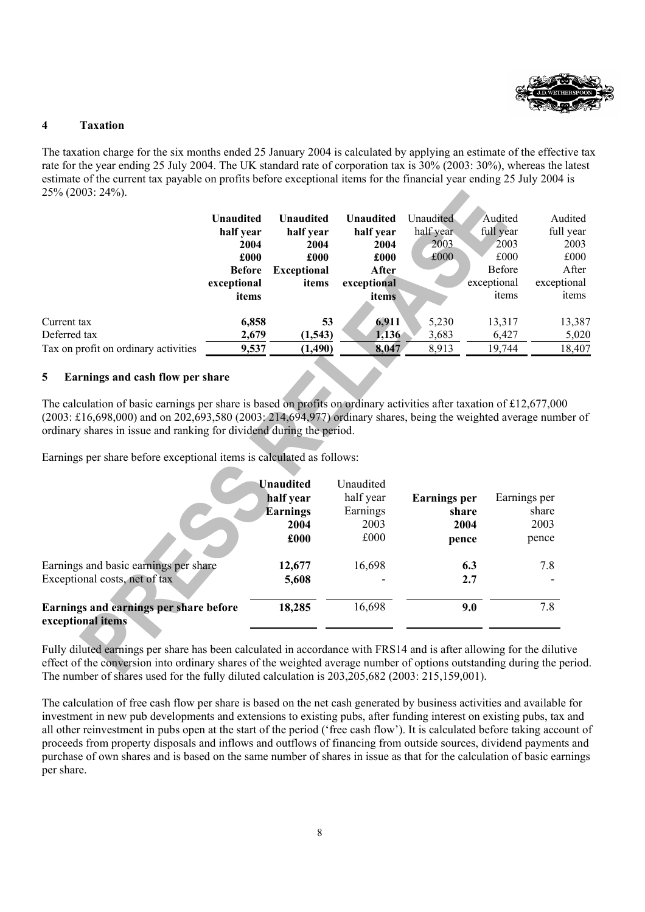

### **4 Taxation**

The taxation charge for the six months ended 25 January 2004 is calculated by applying an estimate of the effective tax rate for the year ending 25 July 2004. The UK standard rate of corporation tax is 30% (2003: 30%), whereas the latest estimate of the current tax payable on profits before exceptional items for the financial year ending 25 July 2004 is 25% (2003: 24%).

|                                      | Unaudited<br>half year<br>2004<br>£000<br><b>Before</b><br>exceptional<br>items | Unaudited<br>half year<br>2004<br>£000<br><b>Exceptional</b><br>items | <b>Unaudited</b><br>half year<br>2004<br>£000<br>After<br>exceptional<br>items | Unaudited<br>half year<br>2003<br>£000 | Audited<br>full year<br>2003<br>£000<br><b>Before</b><br>exceptional<br>items | Audited<br>full year<br>2003<br>£000<br>After<br>exceptional<br>items |
|--------------------------------------|---------------------------------------------------------------------------------|-----------------------------------------------------------------------|--------------------------------------------------------------------------------|----------------------------------------|-------------------------------------------------------------------------------|-----------------------------------------------------------------------|
| Current tax                          | 6,858                                                                           | 53                                                                    | 6,911                                                                          | 5,230                                  | 13,317                                                                        | 13,387                                                                |
| Deferred tax                         | 2,679                                                                           | (1,543)                                                               | 1,136                                                                          | 3,683                                  | 6,427                                                                         | 5,020                                                                 |
| Tax on profit on ordinary activities | 9,537                                                                           | (1, 490)                                                              | 8,047                                                                          | 8,913                                  | 19,744                                                                        | 18,407                                                                |

### **5 Earnings and cash flow per share**

The calculation of basic earnings per share is based on profits on ordinary activities after taxation of £12,677,000 (2003: £16,698,000) and on 202,693,580 (2003: 214,694,977) ordinary shares, being the weighted average number of ordinary shares in issue and ranking for dividend during the period.

Earnings per share before exceptional items is calculated as follows:

|                                                             | <b>Unaudited</b> | Unaudited |                     |              |
|-------------------------------------------------------------|------------------|-----------|---------------------|--------------|
|                                                             | half year        | half year | <b>Earnings</b> per | Earnings per |
|                                                             | <b>Earnings</b>  | Earnings  | share               | share        |
|                                                             | 2004             | 2003      | 2004                | 2003         |
|                                                             | £000             | £000      | pence               | pence        |
| Earnings and basic earnings per share                       | 12,677           | 16,698    | 6.3                 | 7.8          |
| Exceptional costs, net of tax                               | 5,608            |           | 2.7                 |              |
| Earnings and earnings per share before<br>exceptional items | 18,285           | 16,698    | 9.0                 | 7.8          |

Fully diluted earnings per share has been calculated in accordance with FRS14 and is after allowing for the dilutive effect of the conversion into ordinary shares of the weighted average number of options outstanding during the period. The number of shares used for the fully diluted calculation is 203,205,682 (2003: 215,159,001).

The calculation of free cash flow per share is based on the net cash generated by business activities and available for investment in new pub developments and extensions to existing pubs, after funding interest on existing pubs, tax and all other reinvestment in pubs open at the start of the period ('free cash flow'). It is calculated before taking account of proceeds from property disposals and inflows and outflows of financing from outside sources, dividend payments and purchase of own shares and is based on the same number of shares in issue as that for the calculation of basic earnings per share.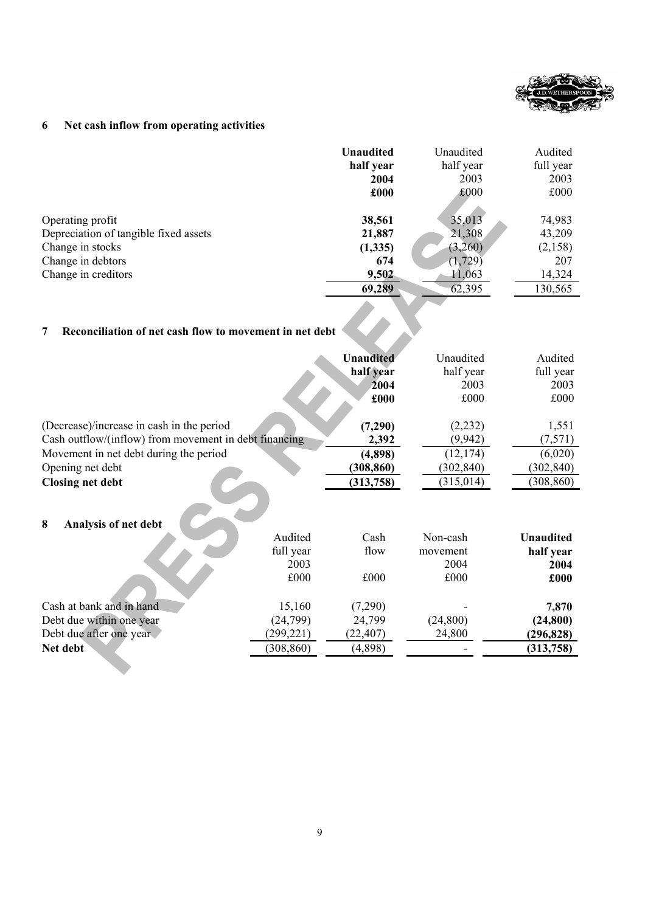

## **6 Net cash inflow from operating activities**

|                                       | <b>Unaudited</b> | Unaudited | Audited   |
|---------------------------------------|------------------|-----------|-----------|
|                                       | half year        | half year | full year |
|                                       | 2004             | 2003      | 2003      |
|                                       | £000             | £000      | £000      |
|                                       |                  |           |           |
| Operating profit                      | 38,561           | 35,013    | 74,983    |
| Depreciation of tangible fixed assets | 21,887           | 21,308    | 43,209    |
| Change in stocks                      | (1,335)          | (3,260)   | (2,158)   |
| Change in debtors                     | 674              | (1, 729)  | 207       |
| Change in creditors                   | 9,502            | 11,063    | 14,324    |
|                                       | 69,289           | 62,395    | 130,565   |

#### **7 Reconciliation of net cash flow to movement in net debt**

|                                                       |                                      | <b>Unaudited</b><br>half year<br>2004<br>£000 | Unaudited<br>half year<br>2003<br>£000 | Audited<br>full year<br>2003<br>£000          |
|-------------------------------------------------------|--------------------------------------|-----------------------------------------------|----------------------------------------|-----------------------------------------------|
| (Decrease)/increase in cash in the period             |                                      | (7,290)                                       | (2,232)                                | 1,551                                         |
| Cash outflow/(inflow) from movement in debt financing |                                      | 2,392                                         | (9,942)                                | (7,571)                                       |
| Movement in net debt during the period                |                                      | (4,898)                                       | (12, 174)                              | (6,020)                                       |
| Opening net debt                                      |                                      | (308, 860)                                    | (302, 840)                             | (302, 840)                                    |
| <b>Closing net debt</b>                               |                                      | (313, 758)                                    | (315, 014)                             | (308, 860)                                    |
| 8<br>Analysis of net debt                             | Audited<br>full year<br>2003<br>£000 | Cash<br>flow<br>£000                          | Non-cash<br>movement<br>2004<br>£000   | <b>Unaudited</b><br>half year<br>2004<br>£000 |
| Cash at bank and in hand                              | 15,160                               | (7,290)                                       |                                        | 7,870                                         |
| Debt due within one year                              | (24, 799)                            | 24,799                                        | (24, 800)                              | (24, 800)                                     |
| Debt due after one year                               | (299, 221)                           | (22, 407)                                     | 24,800                                 | (296, 828)                                    |
| Net debt                                              | (308, 860)                           | (4,898)                                       |                                        | (313, 758)                                    |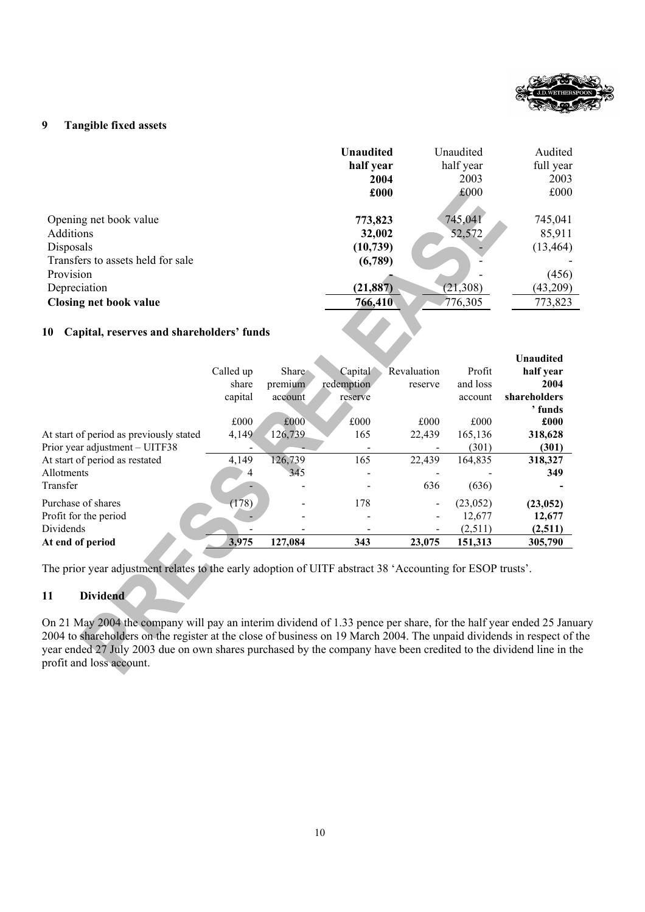

### **9 Tangible fixed assets**

|                                                                                                                                                            | <b>Unaudited</b>                                                  | Unaudited                                 | Audited                                                        |
|------------------------------------------------------------------------------------------------------------------------------------------------------------|-------------------------------------------------------------------|-------------------------------------------|----------------------------------------------------------------|
|                                                                                                                                                            | half year                                                         | half year                                 | full year                                                      |
|                                                                                                                                                            | 2004                                                              | 2003                                      | 2003                                                           |
|                                                                                                                                                            | £000                                                              | £000                                      | £000                                                           |
| Opening net book value<br><b>Additions</b><br>Disposals<br>Transfers to assets held for sale<br>Provision<br>Depreciation<br><b>Closing net book value</b> | 773,823<br>32,002<br>(10, 739)<br>(6,789)<br>(21, 887)<br>766,410 | 745,041<br>52,572<br>(21, 308)<br>776,305 | 745,041<br>85,911<br>(13, 464)<br>(456)<br>(43,209)<br>773,823 |

**SEP** 

### **10 Capital, reserves and shareholders' funds**

|                                         |           |              |            |             |           | <b>Unaudited</b> |
|-----------------------------------------|-----------|--------------|------------|-------------|-----------|------------------|
|                                         | Called up | <b>Share</b> | Capital    | Revaluation | Profit    | half year        |
|                                         | share     | premium      | redemption | reserve     | and loss  | 2004             |
|                                         | capital   | account      | reserve    |             | account   | shareholders     |
|                                         |           |              |            |             |           | ' funds          |
|                                         | £000      | £000         | £000       | £000        | £000      | £000             |
| At start of period as previously stated | 4,149     | 126,739      | 165        | 22,439      | 165,136   | 318,628          |
| Prior year adjustment - UITF38          |           |              |            |             | (301)     | (301)            |
| At start of period as restated          | 4,149     | 126,739      | 165        | 22.439      | 164,835   | 318,327          |
| <b>Allotments</b>                       | 4         | 345          |            |             |           | 349              |
| Transfer                                |           |              |            | 636         | (636)     |                  |
| Purchase of shares                      | (178)     |              | 178        |             | (23, 052) | (23, 052)        |
| Profit for the period                   |           |              |            |             | 12,677    | 12,677           |
| Dividends                               |           |              |            |             | (2,511)   | (2,511)          |
| At end of period                        | 3,975     | 127,084      | 343        | 23,075      | 151,313   | 305,790          |

The prior year adjustment relates to the early adoption of UITF abstract 38 'Accounting for ESOP trusts'.

### **11 Dividend**

On 21 May 2004 the company will pay an interim dividend of 1.33 pence per share, for the half year ended 25 January 2004 to shareholders on the register at the close of business on 19 March 2004. The unpaid dividends in respect of the year ended 27 July 2003 due on own shares purchased by the company have been credited to the dividend line in the profit and loss account.